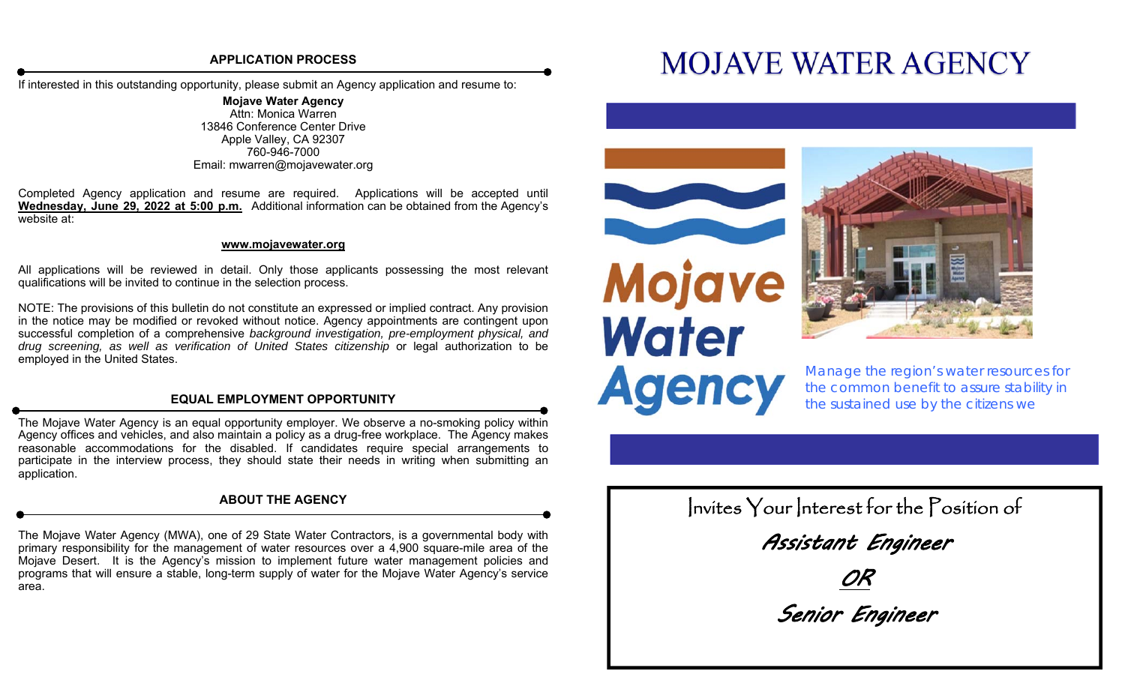# **APPLICATION PROCESS**

If interested in this outstanding opportunity, please submit an Agency application and resume to:

**Mojave Water Agency**  Attn: Monica Warren 13846 Conference Center Drive Apple Valley, CA 92307 760-946-7000 Email: mwarren@mojavewater.org

Completed Agency application and resume are required. Applications will be accepted until **Wednesday, June 29, 2022 at 5:00 p.m.** Additional information can be obtained from the Agency's website at:

### **www.mojavewater.org**

All applications will be reviewed in detail. Only those applicants possessing the most relevant qualifications will be invited to continue in the selection process.

NOTE: The provisions of this bulletin do not constitute an expressed or implied contract. Any provision in the notice may be modified or revoked without notice. Agency appointments are contingent upon successful completion of a comprehensive *background investigation, pre-employment physical, and drug screening, as well as verification of United States citizenship* or legal authorization to be employed in the United States.

# **EQUAL EMPLOYMENT OPPORTUNITY**

The Mojave Water Agency is an equal opportunity employer. We observe a no-smoking policy within Agency offices and vehicles, and also maintain a policy as a drug-free workplace. The Agency makes reasonable accommodations for the disabled. If candidates require special arrangements to participate in the interview process, they should state their needs in writing when submitting an application.

# **ABOUT THE AGENCY**

The Mojave Water Agency (MWA), one of 29 State Water Contractors, is a governmental body with primary responsibility for the management of water resources over a 4,900 square-mile area of the Mojave Desert. It is the Agency's mission to implement future water management policies and programs that will ensure a stable, long-term supply of water for the Mojave Water Agency's service area.

# **MOJAVE WATER AGENCY**





*Manage the region's water resources for the common benefit to assure stability in the sustained use by the citizens we* 

Invites Your Interest for the Position of Assistant Engineer OR Senior Engineer